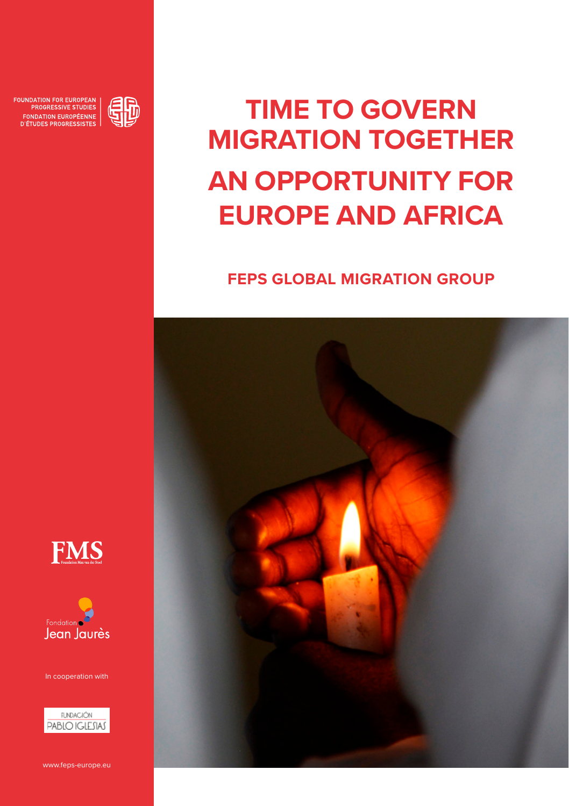

FOUNDATION FOR EUROPEAN<br>PROGRESSIVE STUDIES FONDATION FUROPÉENNE D'ÉTUDES PROGRESSISTES

# **TIME TO GOVERN MIGRATION TOGETHER AN OPPORTUNITY FOR EUROPE AND AFRICA**

# **FEPS GLOBAL MIGRATION GROUP**







In cooperation with

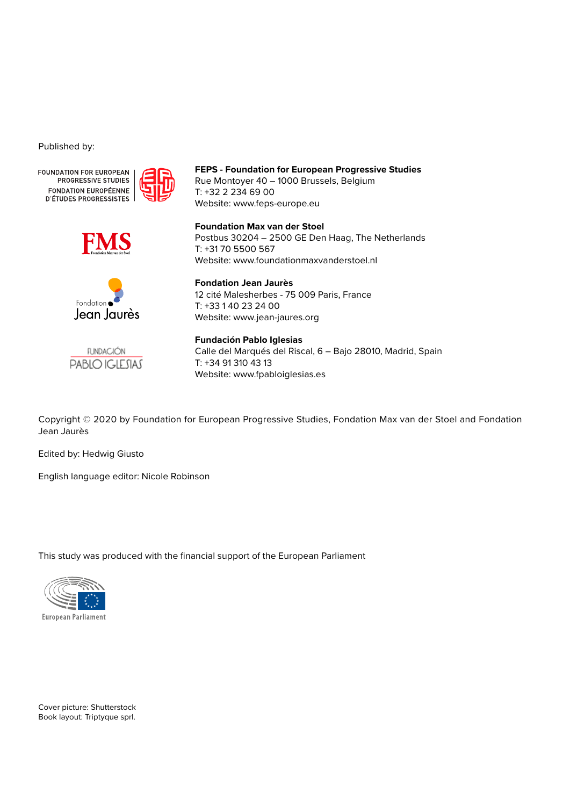Published by:

FOUNDATION FOR EUROPEAN PROGRESSIVE STUDIES FONDATION EUROPÉENNE D'ÉTUDES PROGRESSISTES







**FEPS - Foundation for European Progressive Studies** Rue Montoyer 40 – 1000 Brussels, Belgium

T: +32 2 234 69 00 Website: www.feps-europe.eu

**Foundation Max van der Stoel** Postbus 30204 – 2500 GE Den Haag, The Netherlands T: +31 70 5500 567 Website: www.foundationmaxvanderstoel.nl

**Fondation Jean Jaurès** 12 cité Malesherbes - 75 009 Paris, France T: +33 1 40 23 24 00 Website: www.jean-jaures.org

**Fundación Pablo Iglesias** Calle del Marqués del Riscal, 6 – Bajo 28010, Madrid, Spain T: +34 91 310 43 13 Website: www.fpabloiglesias.es

Copyright © 2020 by Foundation for European Progressive Studies, Fondation Max van der Stoel and Fondation Jean Jaurès

Edited by: Hedwig Giusto

English language editor: Nicole Robinson

This study was produced with the financial support of the European Parliament



Cover picture: Shutterstock Book layout: Triptyque sprl.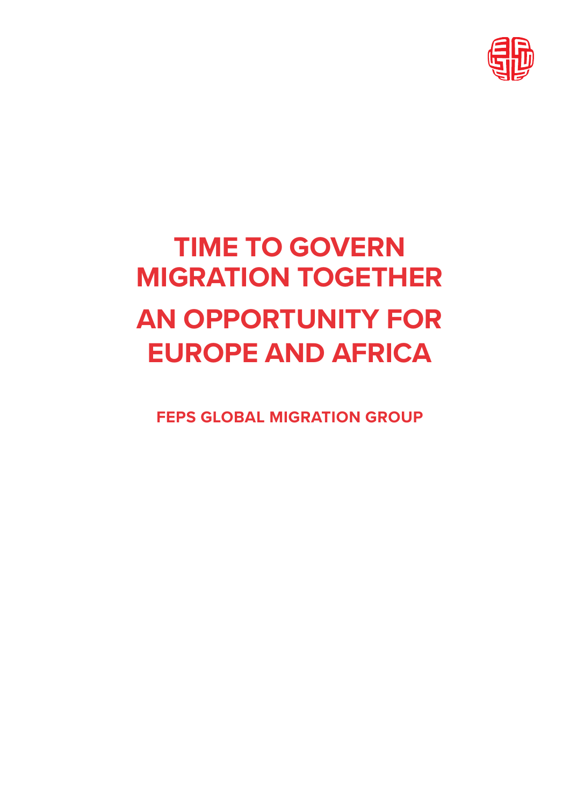

# **TIME TO GOVERN MIGRATION TOGETHER AN OPPORTUNITY FOR EUROPE AND AFRICA**

**FEPS GLOBAL MIGRATION GROUP**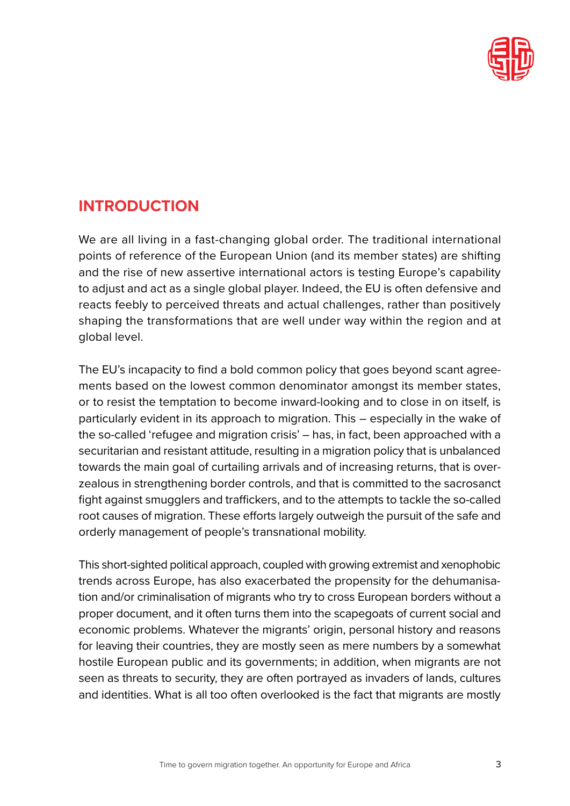

# **INTRODUCTION**

We are all living in a fast-changing global order. The traditional international points of reference of the European Union (and its member states) are shifting and the rise of new assertive international actors is testing Europe's capability to adjust and act as a single global player. Indeed, the EU is often defensive and reacts feebly to perceived threats and actual challenges, rather than positively shaping the transformations that are well under way within the region and at global level.

The EU's incapacity to find a bold common policy that goes beyond scant agreements based on the lowest common denominator amongst its member states, or to resist the temptation to become inward-looking and to close in on itself, is particularly evident in its approach to migration. This – especially in the wake of the so-called 'refugee and migration crisis' – has, in fact, been approached with a securitarian and resistant attitude, resulting in a migration policy that is unbalanced towards the main goal of curtailing arrivals and of increasing returns, that is overzealous in strengthening border controls, and that is committed to the sacrosanct fight against smugglers and traffickers, and to the attempts to tackle the so-called root causes of migration. These efforts largely outweigh the pursuit of the safe and orderly management of people's transnational mobility.

This short-sighted political approach, coupled with growing extremist and xenophobic trends across Europe, has also exacerbated the propensity for the dehumanisation and/or criminalisation of migrants who try to cross European borders without a proper document, and it often turns them into the scapegoats of current social and economic problems. Whatever the migrants' origin, personal history and reasons for leaving their countries, they are mostly seen as mere numbers by a somewhat hostile European public and its governments; in addition, when migrants are not seen as threats to security, they are often portrayed as invaders of lands, cultures and identities. What is all too often overlooked is the fact that migrants are mostly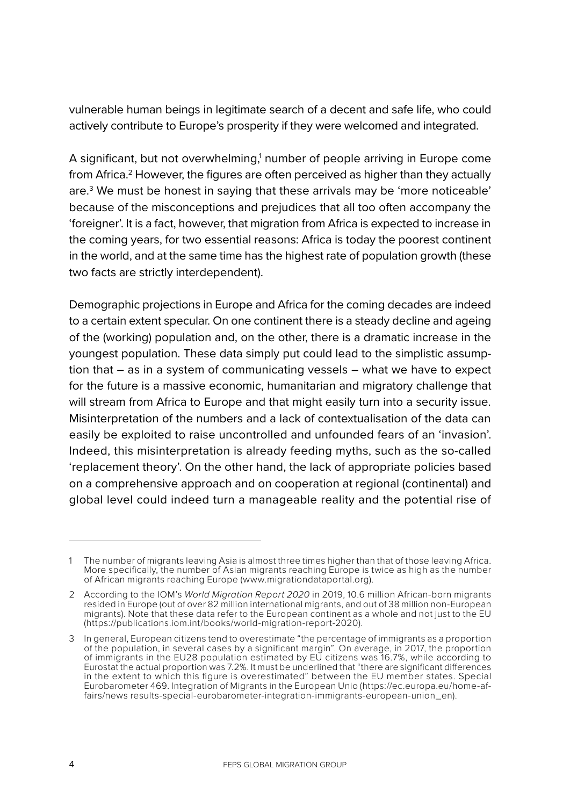vulnerable human beings in legitimate search of a decent and safe life, who could actively contribute to Europe's prosperity if they were welcomed and integrated.

A significant, but not overwhelming,<sup>1</sup> number of people arriving in Europe come from Africa.<sup>2</sup> However, the figures are often perceived as higher than they actually are.3 We must be honest in saying that these arrivals may be 'more noticeable' because of the misconceptions and prejudices that all too often accompany the 'foreigner'. It is a fact, however, that migration from Africa is expected to increase in the coming years, for two essential reasons: Africa is today the poorest continent in the world, and at the same time has the highest rate of population growth (these two facts are strictly interdependent).

Demographic projections in Europe and Africa for the coming decades are indeed to a certain extent specular. On one continent there is a steady decline and ageing of the (working) population and, on the other, there is a dramatic increase in the youngest population. These data simply put could lead to the simplistic assumption that – as in a system of communicating vessels – what we have to expect for the future is a massive economic, humanitarian and migratory challenge that will stream from Africa to Europe and that might easily turn into a security issue. Misinterpretation of the numbers and a lack of contextualisation of the data can easily be exploited to raise uncontrolled and unfounded fears of an 'invasion'. Indeed, this misinterpretation is already feeding myths, such as the so-called 'replacement theory'. On the other hand, the lack of appropriate policies based on a comprehensive approach and on cooperation at regional (continental) and global level could indeed turn a manageable reality and the potential rise of

<sup>1</sup> The number of migrants leaving Asia is almost three times higher than that of those leaving Africa. More specifically, the number of Asian migrants reaching Europe is twice as high as the number of African migrants reaching Europe (www.migrationdataportal.org).

<sup>2</sup> According to the IOM's *World Migration Report 2020* in 2019, 10.6 million African-born migrants resided in Europe (out of over 82 million international migrants, and out of 38 million non-European migrants). Note that these data refer to the European continent as a whole and not just to the EU (https://publications.iom.int/books/world-migration-report-2020).

<sup>3</sup> In general, European citizens tend to overestimate "the percentage of immigrants as a proportion of the population, in several cases by a significant margin". On average, in 2017, the proportion of immigrants in the EU28 population estimated by EU citizens was 16.7%, while according to Eurostat the actual proportion was 7.2%. It must be underlined that "there are significant differences in the extent to which this figure is overestimated" between the EU member states. Special Eurobarometer 469. Integration of Migrants in the European Unio (https://ec.europa.eu/home-affairs/news results-special-eurobarometer-integration-immigrants-european-union\_en).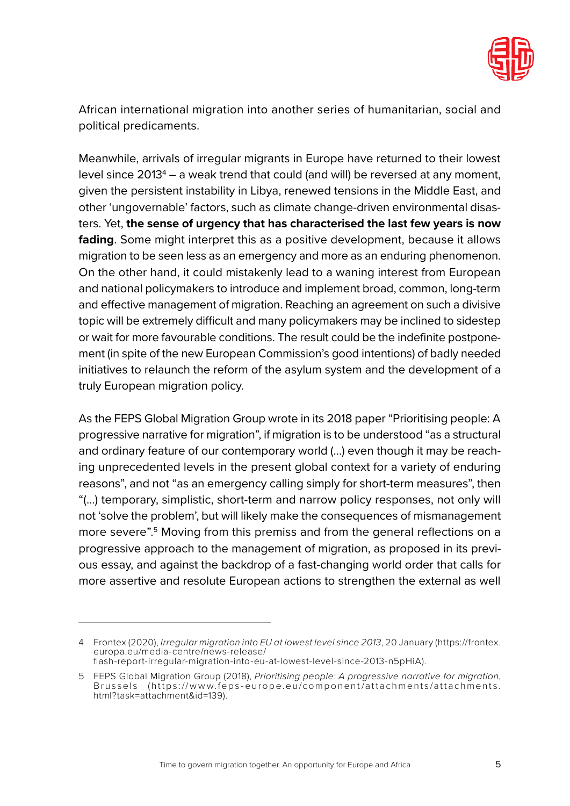

African international migration into another series of humanitarian, social and political predicaments.

Meanwhile, arrivals of irregular migrants in Europe have returned to their lowest level since 20134 – a weak trend that could (and will) be reversed at any moment, given the persistent instability in Libya, renewed tensions in the Middle East, and other 'ungovernable' factors, such as climate change-driven environmental disasters. Yet, **the sense of urgency that has characterised the last few years is now fading**. Some might interpret this as a positive development, because it allows migration to be seen less as an emergency and more as an enduring phenomenon. On the other hand, it could mistakenly lead to a waning interest from European and national policymakers to introduce and implement broad, common, long-term and effective management of migration. Reaching an agreement on such a divisive topic will be extremely difficult and many policymakers may be inclined to sidestep or wait for more favourable conditions. The result could be the indefinite postponement (in spite of the new European Commission's good intentions) of badly needed initiatives to relaunch the reform of the asylum system and the development of a truly European migration policy.

As the FEPS Global Migration Group wrote in its 2018 paper "Prioritising people: A progressive narrative for migration", if migration is to be understood "as a structural and ordinary feature of our contemporary world (…) even though it may be reaching unprecedented levels in the present global context for a variety of enduring reasons", and not "as an emergency calling simply for short-term measures", then "(…) temporary, simplistic, short-term and narrow policy responses, not only will not 'solve the problem', but will likely make the consequences of mismanagement more severe".5 Moving from this premiss and from the general reflections on a progressive approach to the management of migration, as proposed in its previous essay, and against the backdrop of a fast-changing world order that calls for more assertive and resolute European actions to strengthen the external as well

<sup>4</sup> Frontex (2020), *Irregular migration into EU at lowest level since 2013*, 20 January (https://frontex. europa.eu/media-centre/news-release/ flash-report-irregular-migration-into-eu-at-lowest-level-since-2013-n5pHiA).

<sup>5</sup> FEPS Global Migration Group (2018), *Prioritising people: A progressive narrative for migration*, Brussels (https://www.feps-europe.eu/component/attachments/attachments. html?task=attachment&id=139).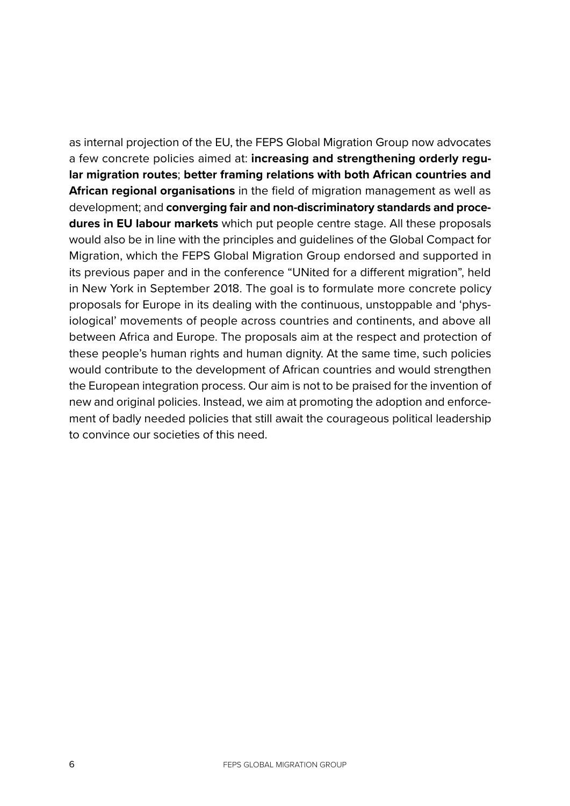as internal projection of the EU, the FEPS Global Migration Group now advocates a few concrete policies aimed at: **increasing and strengthening orderly regular migration routes**; **better framing relations with both African countries and African regional organisations** in the field of migration management as well as development; and **converging fair and non-discriminatory standards and procedures in EU labour markets** which put people centre stage. All these proposals would also be in line with the principles and guidelines of the Global Compact for Migration, which the FEPS Global Migration Group endorsed and supported in its previous paper and in the conference "UNited for a different migration", held in New York in September 2018. The goal is to formulate more concrete policy proposals for Europe in its dealing with the continuous, unstoppable and 'physiological' movements of people across countries and continents, and above all between Africa and Europe. The proposals aim at the respect and protection of these people's human rights and human dignity. At the same time, such policies would contribute to the development of African countries and would strengthen the European integration process. Our aim is not to be praised for the invention of new and original policies. Instead, we aim at promoting the adoption and enforcement of badly needed policies that still await the courageous political leadership to convince our societies of this need.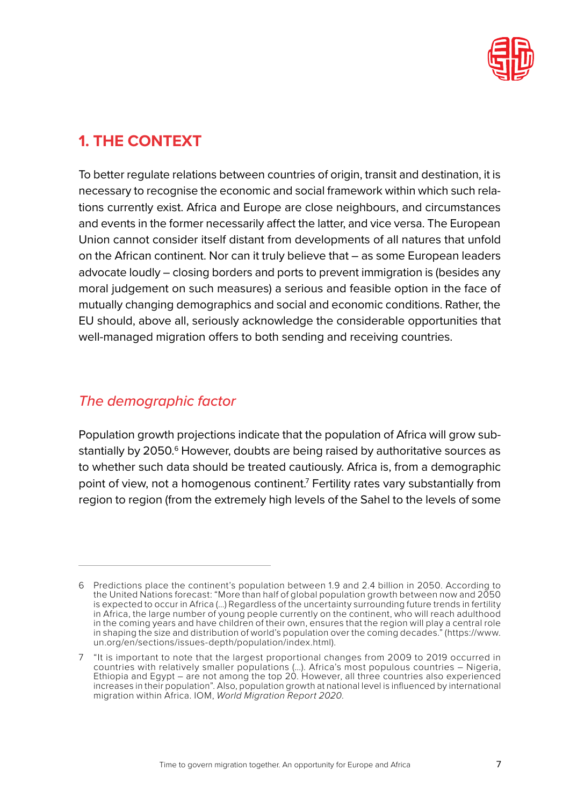

# **1. THE CONTEXT**

To better regulate relations between countries of origin, transit and destination, it is necessary to recognise the economic and social framework within which such relations currently exist. Africa and Europe are close neighbours, and circumstances and events in the former necessarily affect the latter, and vice versa. The European Union cannot consider itself distant from developments of all natures that unfold on the African continent. Nor can it truly believe that – as some European leaders advocate loudly – closing borders and ports to prevent immigration is (besides any moral judgement on such measures) a serious and feasible option in the face of mutually changing demographics and social and economic conditions. Rather, the EU should, above all, seriously acknowledge the considerable opportunities that well-managed migration offers to both sending and receiving countries.

# *The demographic factor*

Population growth projections indicate that the population of Africa will grow substantially by 2050.<sup>6</sup> However, doubts are being raised by authoritative sources as to whether such data should be treated cautiously. Africa is, from a demographic point of view, not a homogenous continent.7 Fertility rates vary substantially from region to region (from the extremely high levels of the Sahel to the levels of some

<sup>6</sup> Predictions place the continent's population between 1.9 and 2.4 billion in 2050. According to the United Nations forecast: "More than half of global population growth between now and 2050 is expected to occur in Africa (…) Regardless of the uncertainty surrounding future trends in fertility in Africa, the large number of young people currently on the continent, who will reach adulthood in the coming years and have children of their own, ensures that the region will play a central role in shaping the size and distribution of world's population over the coming decades." (https://www. un.org/en/sections/issues-depth/population/index.html).

<sup>7 &</sup>quot;It is important to note that the largest proportional changes from 2009 to 2019 occurred in countries with relatively smaller populations (…). Africa's most populous countries – Nigeria, Ethiopia and Egypt – are not among the top 20. However, all three countries also experienced increases in their population". Also, population growth at national level is influenced by international migration within Africa. IOM, *World Migration Report 2020*.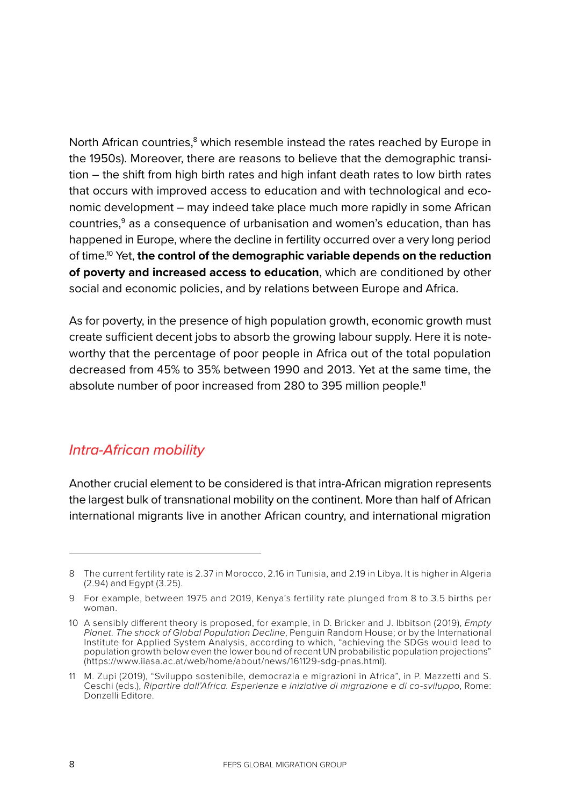North African countries,<sup>8</sup> which resemble instead the rates reached by Europe in the 1950s). Moreover, there are reasons to believe that the demographic transition – the shift from high birth rates and high infant death rates to low birth rates that occurs with improved access to education and with technological and economic development – may indeed take place much more rapidly in some African countries,<sup>9</sup> as a consequence of urbanisation and women's education, than has happened in Europe, where the decline in fertility occurred over a very long period of time.10 Yet, **the control of the demographic variable depends on the reduction of poverty and increased access to education**, which are conditioned by other social and economic policies, and by relations between Europe and Africa.

As for poverty, in the presence of high population growth, economic growth must create sufficient decent jobs to absorb the growing labour supply. Here it is noteworthy that the percentage of poor people in Africa out of the total population decreased from 45% to 35% between 1990 and 2013. Yet at the same time, the absolute number of poor increased from 280 to 395 million people.<sup>11</sup>

#### *Intra-African mobility*

Another crucial element to be considered is that intra-African migration represents the largest bulk of transnational mobility on the continent. More than half of African international migrants live in another African country, and international migration

<sup>8</sup> The current fertility rate is 2.37 in Morocco, 2.16 in Tunisia, and 2.19 in Libya. It is higher in Algeria  $(2.94)$  and Egypt  $(3.25)$ .

<sup>9</sup> For example, between 1975 and 2019, Kenya's fertility rate plunged from 8 to 3.5 births per woman.

<sup>10</sup> A sensibly different theory is proposed, for example, in D. Bricker and J. Ibbitson (2019), *Empty Planet. The shock of Global Population Decline*, Penguin Random House; or by the International Institute for Applied System Analysis, according to which, "achieving the SDGs would lead to population growth below even the lower bound of recent UN probabilistic population projections" (https://www.iiasa.ac.at/web/home/about/news/161129-sdg-pnas.html).

<sup>11</sup> M. Zupi (2019), "Sviluppo sostenibile, democrazia e migrazioni in Africa", in P. Mazzetti and S. Ceschi (eds.), *Ripartire dall'Africa. Esperienze e iniziative di migrazione e di co-sviluppo*, Rome: Donzelli Editore.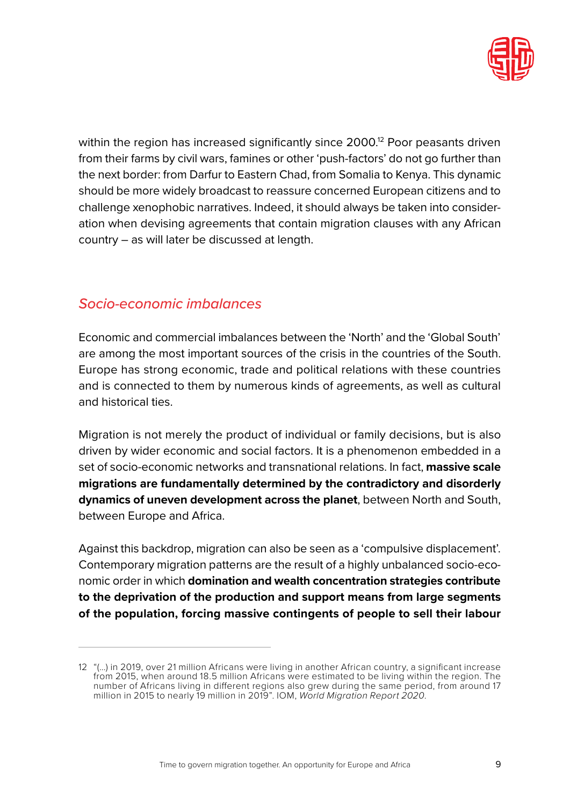

within the region has increased significantly since 2000.<sup>12</sup> Poor peasants driven from their farms by civil wars, famines or other 'push-factors' do not go further than the next border: from Darfur to Eastern Chad, from Somalia to Kenya. This dynamic should be more widely broadcast to reassure concerned European citizens and to challenge xenophobic narratives. Indeed, it should always be taken into consideration when devising agreements that contain migration clauses with any African country – as will later be discussed at length.

# *Socio-economic imbalances*

Economic and commercial imbalances between the 'North' and the 'Global South' are among the most important sources of the crisis in the countries of the South. Europe has strong economic, trade and political relations with these countries and is connected to them by numerous kinds of agreements, as well as cultural and historical ties.

Migration is not merely the product of individual or family decisions, but is also driven by wider economic and social factors. It is a phenomenon embedded in a set of socio-economic networks and transnational relations. In fact, **massive scale migrations are fundamentally determined by the contradictory and disorderly dynamics of uneven development across the planet**, between North and South, between Europe and Africa.

Against this backdrop, migration can also be seen as a 'compulsive displacement'. Contemporary migration patterns are the result of a highly unbalanced socio-economic order in which **domination and wealth concentration strategies contribute to the deprivation of the production and support means from large segments of the population, forcing massive contingents of people to sell their labour** 

<sup>12 &</sup>quot;(…) in 2019, over 21 million Africans were living in another African country, a significant increase from 2015, when around 18.5 million Africans were estimated to be living within the region. The number of Africans living in different regions also grew during the same period, from around 17 million in 2015 to nearly 19 million in 2019". IOM, *World Migration Report 2020*.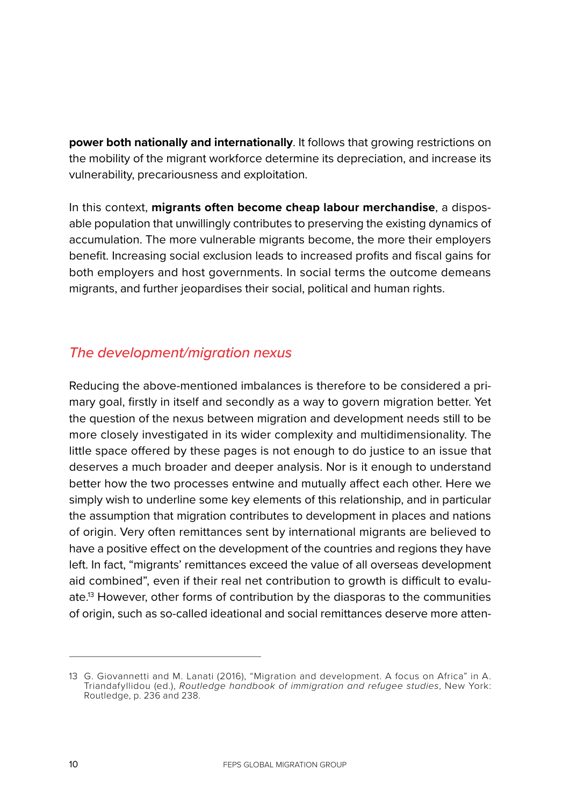**power both nationally and internationally**. It follows that growing restrictions on the mobility of the migrant workforce determine its depreciation, and increase its vulnerability, precariousness and exploitation.

In this context, **migrants often become cheap labour merchandise**, a disposable population that unwillingly contributes to preserving the existing dynamics of accumulation. The more vulnerable migrants become, the more their employers benefit. Increasing social exclusion leads to increased profits and fiscal gains for both employers and host governments. In social terms the outcome demeans migrants, and further jeopardises their social, political and human rights.

# *The development/migration nexus*

Reducing the above-mentioned imbalances is therefore to be considered a primary goal, firstly in itself and secondly as a way to govern migration better. Yet the question of the nexus between migration and development needs still to be more closely investigated in its wider complexity and multidimensionality. The little space offered by these pages is not enough to do justice to an issue that deserves a much broader and deeper analysis. Nor is it enough to understand better how the two processes entwine and mutually affect each other. Here we simply wish to underline some key elements of this relationship, and in particular the assumption that migration contributes to development in places and nations of origin. Very often remittances sent by international migrants are believed to have a positive effect on the development of the countries and regions they have left. In fact, "migrants' remittances exceed the value of all overseas development aid combined", even if their real net contribution to growth is difficult to evaluate.13 However, other forms of contribution by the diasporas to the communities of origin, such as so-called ideational and social remittances deserve more atten-

<sup>13</sup> G. Giovannetti and M. Lanati (2016), "Migration and development. A focus on Africa" in A. Triandafyllidou (ed.), *Routledge handbook of immigration and refugee studies*, New York: Routledge, p. 236 and 238.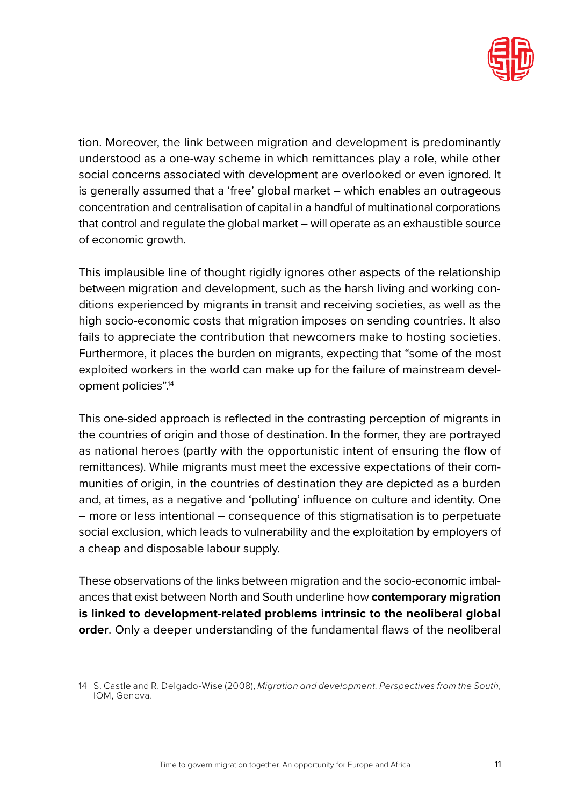

tion. Moreover, the link between migration and development is predominantly understood as a one-way scheme in which remittances play a role, while other social concerns associated with development are overlooked or even ignored. It is generally assumed that a 'free' global market – which enables an outrageous concentration and centralisation of capital in a handful of multinational corporations that control and regulate the global market – will operate as an exhaustible source of economic growth.

This implausible line of thought rigidly ignores other aspects of the relationship between migration and development, such as the harsh living and working conditions experienced by migrants in transit and receiving societies, as well as the high socio-economic costs that migration imposes on sending countries. It also fails to appreciate the contribution that newcomers make to hosting societies. Furthermore, it places the burden on migrants, expecting that "some of the most exploited workers in the world can make up for the failure of mainstream development policies".14

This one-sided approach is reflected in the contrasting perception of migrants in the countries of origin and those of destination. In the former, they are portrayed as national heroes (partly with the opportunistic intent of ensuring the flow of remittances). While migrants must meet the excessive expectations of their communities of origin, in the countries of destination they are depicted as a burden and, at times, as a negative and 'polluting' influence on culture and identity. One – more or less intentional – consequence of this stigmatisation is to perpetuate social exclusion, which leads to vulnerability and the exploitation by employers of a cheap and disposable labour supply.

These observations of the links between migration and the socio-economic imbalances that exist between North and South underline how **contemporary migration is linked to development-related problems intrinsic to the neoliberal global order**. Only a deeper understanding of the fundamental flaws of the neoliberal

<sup>14</sup> S. Castle and R. Delgado-Wise (2008), *Migration and development. Perspectives from the South*, IOM, Geneva.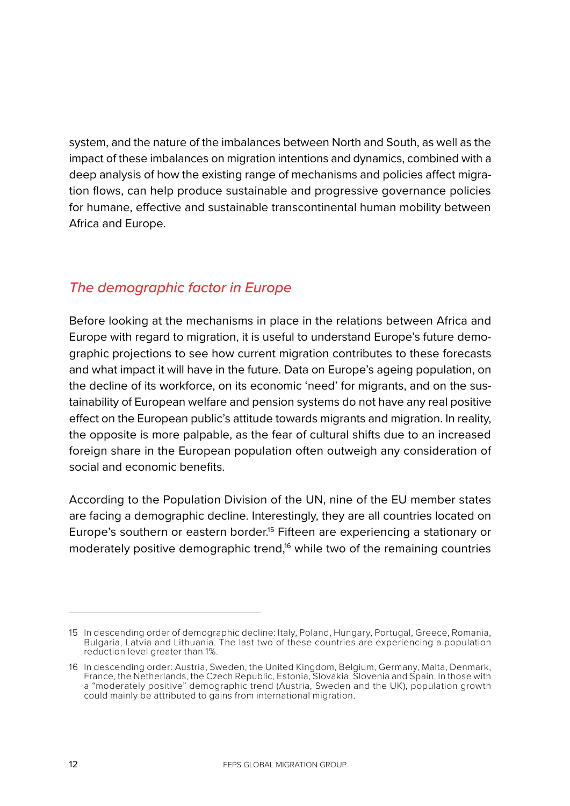system, and the nature of the imbalances between North and South, as well as the impact of these imbalances on migration intentions and dynamics, combined with a deep analysis of how the existing range of mechanisms and policies affect migration flows, can help produce sustainable and progressive governance policies for humane, effective and sustainable transcontinental human mobility between Africa and Europe.

# *The demographic factor in Europe*

Before looking at the mechanisms in place in the relations between Africa and Europe with regard to migration, it is useful to understand Europe's future demographic projections to see how current migration contributes to these forecasts and what impact it will have in the future. Data on Europe's ageing population, on the decline of its workforce, on its economic 'need' for migrants, and on the sustainability of European welfare and pension systems do not have any real positive effect on the European public's attitude towards migrants and migration. In reality, the opposite is more palpable, as the fear of cultural shifts due to an increased foreign share in the European population often outweigh any consideration of social and economic benefits.

According to the Population Division of the UN, nine of the EU member states are facing a demographic decline. Interestingly, they are all countries located on Europe's southern or eastern border.<sup>15</sup> Fifteen are experiencing a stationary or moderately positive demographic trend,<sup>16</sup> while two of the remaining countries

<sup>15</sup> In descending order of demographic decline: Italy, Poland, Hungary, Portugal, Greece, Romania, Bulgaria, Latvia and Lithuania. The last two of these countries are experiencing a population reduction level greater than 1%.

<sup>16</sup> In descending order: Austria, Sweden, the United Kingdom, Belgium, Germany, Malta, Denmark, France, the Netherlands, the Czech Republic, Estonia, Slovakia, Slovenia and Spain. In those with a "moderately positive" demographic trend (Austria, Sweden and the UK), population growth could mainly be attributed to gains from international migration.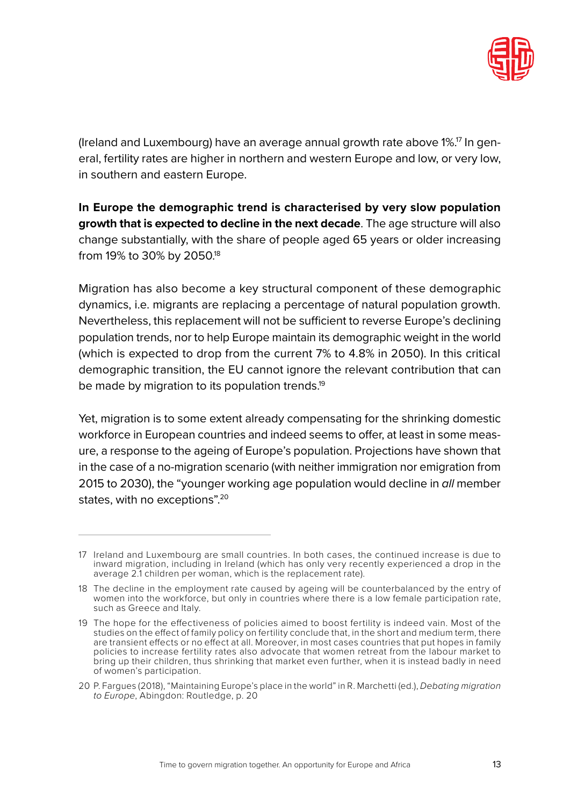

(Ireland and Luxembourg) have an average annual growth rate above 1%.17 In general, fertility rates are higher in northern and western Europe and low, or very low, in southern and eastern Europe.

**In Europe the demographic trend is characterised by very slow population growth that is expected to decline in the next decade**. The age structure will also change substantially, with the share of people aged 65 years or older increasing from 19% to 30% by 2050.18

Migration has also become a key structural component of these demographic dynamics, i.e. migrants are replacing a percentage of natural population growth. Nevertheless, this replacement will not be sufficient to reverse Europe's declining population trends, nor to help Europe maintain its demographic weight in the world (which is expected to drop from the current 7% to 4.8% in 2050). In this critical demographic transition, the EU cannot ignore the relevant contribution that can be made by migration to its population trends.<sup>19</sup>

Yet, migration is to some extent already compensating for the shrinking domestic workforce in European countries and indeed seems to offer, at least in some measure, a response to the ageing of Europe's population. Projections have shown that in the case of a no-migration scenario (with neither immigration nor emigration from 2015 to 2030), the "younger working age population would decline in *all* member states, with no exceptions".20

<sup>17</sup> Ireland and Luxembourg are small countries. In both cases, the continued increase is due to inward migration, including in Ireland (which has only very recently experienced a drop in the average 2.1 children per woman, which is the replacement rate).

<sup>18</sup> The decline in the employment rate caused by ageing will be counterbalanced by the entry of women into the workforce, but only in countries where there is a low female participation rate, such as Greece and Italy.

<sup>19</sup> The hope for the effectiveness of policies aimed to boost fertility is indeed vain. Most of the studies on the effect of family policy on fertility conclude that, in the short and medium term, there are transient effects or no effect at all. Moreover, in most cases countries that put hopes in family policies to increase fertility rates also advocate that women retreat from the labour market to bring up their children, thus shrinking that market even further, when it is instead badly in need of women's participation.

<sup>20</sup> P. Fargues (2018), "Maintaining Europe's place in the world" in R. Marchetti (ed.), *Debating migration to Europe*, Abingdon: Routledge, p. 20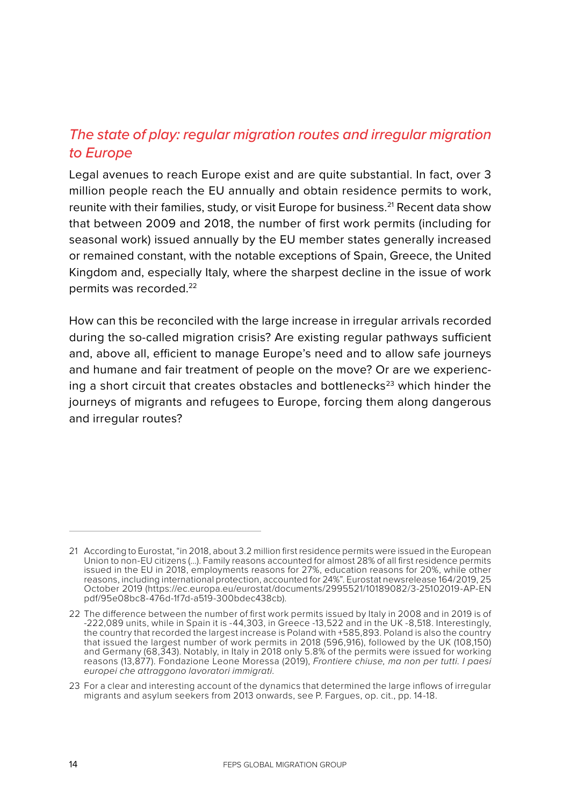# *The state of play: regular migration routes and irregular migration to Europe*

Legal avenues to reach Europe exist and are quite substantial. In fact, over 3 million people reach the EU annually and obtain residence permits to work, reunite with their families, study, or visit Europe for business.21 Recent data show that between 2009 and 2018, the number of first work permits (including for seasonal work) issued annually by the EU member states generally increased or remained constant, with the notable exceptions of Spain, Greece, the United Kingdom and, especially Italy, where the sharpest decline in the issue of work permits was recorded.<sup>22</sup>

How can this be reconciled with the large increase in irregular arrivals recorded during the so-called migration crisis? Are existing regular pathways sufficient and, above all, efficient to manage Europe's need and to allow safe journeys and humane and fair treatment of people on the move? Or are we experiencing a short circuit that creates obstacles and bottlenecks<sup>23</sup> which hinder the journeys of migrants and refugees to Europe, forcing them along dangerous and irregular routes?

<sup>21</sup> According to Eurostat, "in 2018, about 3.2 million first residence permits were issued in the European Union to non-EU citizens (…). Family reasons accounted for almost 28% of all first residence permits issued in the EU in 2018, employments reasons for 27%, education reasons for 20%, while other reasons, including international protection, accounted for 24%". Eurostat newsrelease 164/2019, 25 October 2019 (https://ec.europa.eu/eurostat/documents/2995521/10189082/3-25102019-AP-EN pdf/95e08bc8-476d-1f7d-a519-300bdec438cb).

<sup>22</sup> The difference between the number of first work permits issued by Italy in 2008 and in 2019 is of -222,089 units, while in Spain it is -44,303, in Greece -13,522 and in the UK -8,518. Interestingly, the country that recorded the largest increase is Poland with +585,893. Poland is also the country that issued the largest number of work permits in 2018 (596,916), followed by the UK (108,150) and Germany (68,343). Notably, in Italy in 2018 only 5.8% of the permits were issued for working reasons (13,877). Fondazione Leone Moressa (2019), *Frontiere chiuse, ma non per tutti. I paesi europei che attraggono lavoratori immigrati*.

<sup>23</sup> For a clear and interesting account of the dynamics that determined the large inflows of irregular migrants and asylum seekers from 2013 onwards, see P. Fargues, op. cit., pp. 14-18.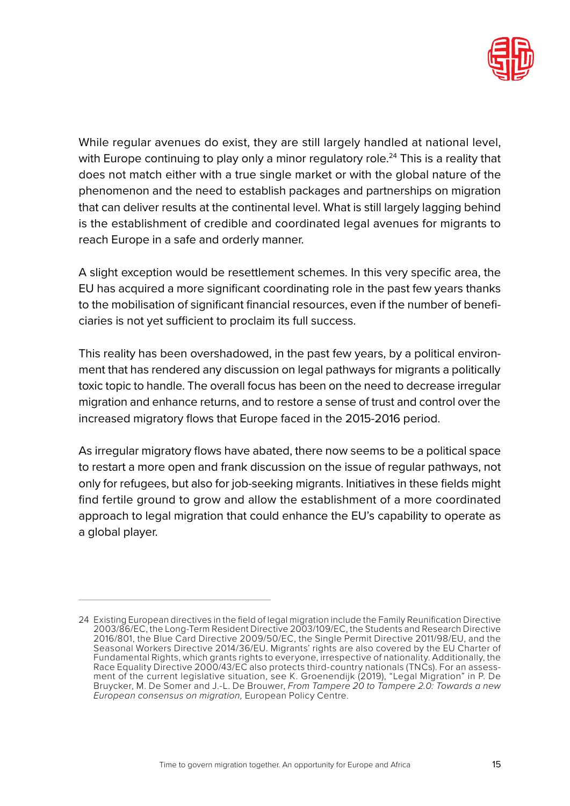

While regular avenues do exist, they are still largely handled at national level, with Europe continuing to play only a minor regulatory role.<sup>24</sup> This is a reality that does not match either with a true single market or with the global nature of the phenomenon and the need to establish packages and partnerships on migration that can deliver results at the continental level. What is still largely lagging behind is the establishment of credible and coordinated legal avenues for migrants to reach Europe in a safe and orderly manner.

A slight exception would be resettlement schemes. In this very specific area, the EU has acquired a more significant coordinating role in the past few years thanks to the mobilisation of significant financial resources, even if the number of beneficiaries is not yet sufficient to proclaim its full success.

This reality has been overshadowed, in the past few years, by a political environment that has rendered any discussion on legal pathways for migrants a politically toxic topic to handle. The overall focus has been on the need to decrease irregular migration and enhance returns, and to restore a sense of trust and control over the increased migratory flows that Europe faced in the 2015-2016 period.

As irregular migratory flows have abated, there now seems to be a political space to restart a more open and frank discussion on the issue of regular pathways, not only for refugees, but also for job-seeking migrants. Initiatives in these fields might find fertile ground to grow and allow the establishment of a more coordinated approach to legal migration that could enhance the EU's capability to operate as a global player.

<sup>24</sup> Existing European directives in the field of legal migration include the Family Reunification Directive 2003/86/EC, the Long-Term Resident Directive 2003/109/EC, the Students and Research Directive 2016/801, the Blue Card Directive 2009/50/EC, the Single Permit Directive 2011/98/EU, and the Seasonal Workers Directive 2014/36/EU. Migrants' rights are also covered by the EU Charter of Fundamental Rights, which grants rights to everyone, irrespective of nationality. Additionally, the Race Equality Directive 2000/43/EC also protects third-country nationals (TNCs). For an assess-<br>ment of the current legislative situation, see K. Groenendijk (2019), "Legal Migration" in P. De<br>Bruycker, M. De Somer and J.-*European consensus on migration,* European Policy Centre.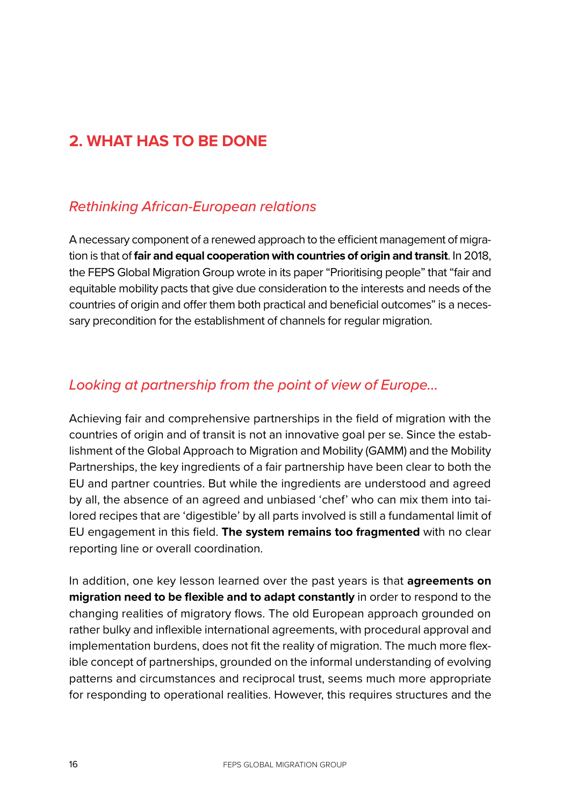# **2. WHAT HAS TO BE DONE**

# *Rethinking African-European relations*

A necessary component of a renewed approach to the efficient management of migration is that of **fair and equal cooperation with countries of origin and transit**. In 2018, the FEPS Global Migration Group wrote in its paper "Prioritising people" that "fair and equitable mobility pacts that give due consideration to the interests and needs of the countries of origin and offer them both practical and beneficial outcomes" is a necessary precondition for the establishment of channels for regular migration.

#### *Looking at partnership from the point of view of Europe…*

Achieving fair and comprehensive partnerships in the field of migration with the countries of origin and of transit is not an innovative goal per se. Since the establishment of the Global Approach to Migration and Mobility (GAMM) and the Mobility Partnerships, the key ingredients of a fair partnership have been clear to both the EU and partner countries. But while the ingredients are understood and agreed by all, the absence of an agreed and unbiased 'chef' who can mix them into tailored recipes that are 'digestible' by all parts involved is still a fundamental limit of EU engagement in this field. **The system remains too fragmented** with no clear reporting line or overall coordination.

In addition, one key lesson learned over the past years is that **agreements on migration need to be flexible and to adapt constantly** in order to respond to the changing realities of migratory flows. The old European approach grounded on rather bulky and inflexible international agreements, with procedural approval and implementation burdens, does not fit the reality of migration. The much more flexible concept of partnerships, grounded on the informal understanding of evolving patterns and circumstances and reciprocal trust, seems much more appropriate for responding to operational realities. However, this requires structures and the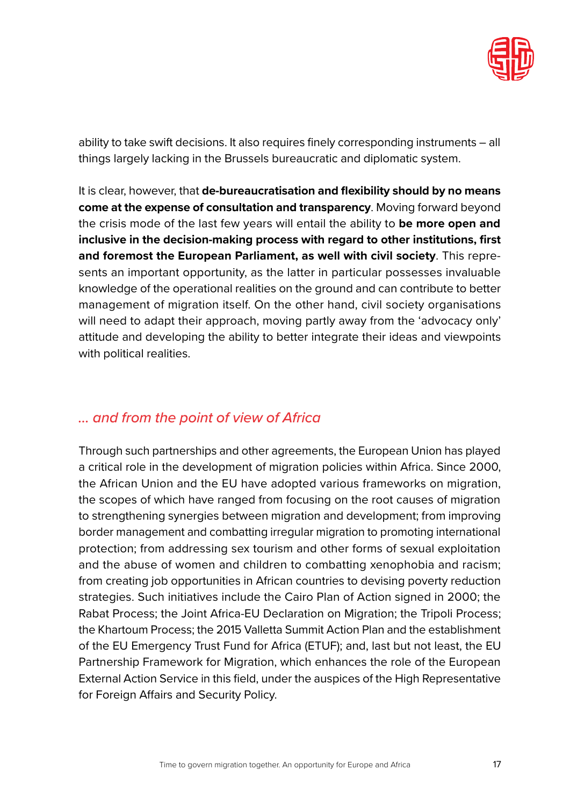

ability to take swift decisions. It also requires finely corresponding instruments – all things largely lacking in the Brussels bureaucratic and diplomatic system.

It is clear, however, that **de-bureaucratisation and flexibility should by no means come at the expense of consultation and transparency**. Moving forward beyond the crisis mode of the last few years will entail the ability to **be more open and inclusive in the decision-making process with regard to other institutions, first and foremost the European Parliament, as well with civil society**. This represents an important opportunity, as the latter in particular possesses invaluable knowledge of the operational realities on the ground and can contribute to better management of migration itself. On the other hand, civil society organisations will need to adapt their approach, moving partly away from the 'advocacy only' attitude and developing the ability to better integrate their ideas and viewpoints with political realities.

#### *… and from the point of view of Africa*

Through such partnerships and other agreements, the European Union has played a critical role in the development of migration policies within Africa. Since 2000, the African Union and the EU have adopted various frameworks on migration, the scopes of which have ranged from focusing on the root causes of migration to strengthening synergies between migration and development; from improving border management and combatting irregular migration to promoting international protection; from addressing sex tourism and other forms of sexual exploitation and the abuse of women and children to combatting xenophobia and racism; from creating job opportunities in African countries to devising poverty reduction strategies. Such initiatives include the Cairo Plan of Action signed in 2000; the Rabat Process; the Joint Africa-EU Declaration on Migration; the Tripoli Process; the Khartoum Process; the 2015 Valletta Summit Action Plan and the establishment of the EU Emergency Trust Fund for Africa (ETUF); and, last but not least, the EU Partnership Framework for Migration, which enhances the role of the European External Action Service in this field, under the auspices of the High Representative for Foreign Affairs and Security Policy.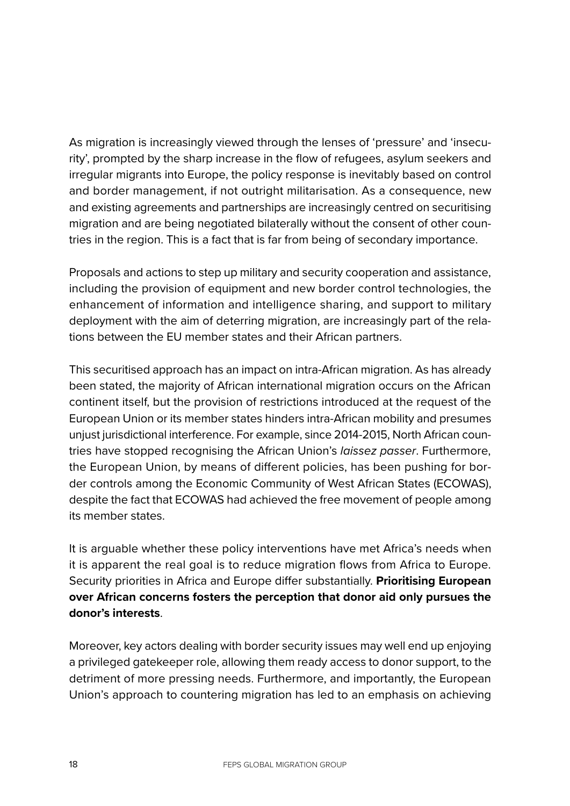As migration is increasingly viewed through the lenses of 'pressure' and 'insecurity', prompted by the sharp increase in the flow of refugees, asylum seekers and irregular migrants into Europe, the policy response is inevitably based on control and border management, if not outright militarisation. As a consequence, new and existing agreements and partnerships are increasingly centred on securitising migration and are being negotiated bilaterally without the consent of other countries in the region. This is a fact that is far from being of secondary importance.

Proposals and actions to step up military and security cooperation and assistance, including the provision of equipment and new border control technologies, the enhancement of information and intelligence sharing, and support to military deployment with the aim of deterring migration, are increasingly part of the relations between the EU member states and their African partners.

This securitised approach has an impact on intra-African migration. As has already been stated, the majority of African international migration occurs on the African continent itself, but the provision of restrictions introduced at the request of the European Union or its member states hinders intra-African mobility and presumes unjust jurisdictional interference. For example, since 2014-2015, North African countries have stopped recognising the African Union's *laissez passer*. Furthermore, the European Union, by means of different policies, has been pushing for border controls among the Economic Community of West African States (ECOWAS), despite the fact that ECOWAS had achieved the free movement of people among its member states.

It is arguable whether these policy interventions have met Africa's needs when it is apparent the real goal is to reduce migration flows from Africa to Europe. Security priorities in Africa and Europe differ substantially. **Prioritising European over African concerns fosters the perception that donor aid only pursues the donor's interests**.

Moreover, key actors dealing with border security issues may well end up enjoying a privileged gatekeeper role, allowing them ready access to donor support, to the detriment of more pressing needs. Furthermore, and importantly, the European Union's approach to countering migration has led to an emphasis on achieving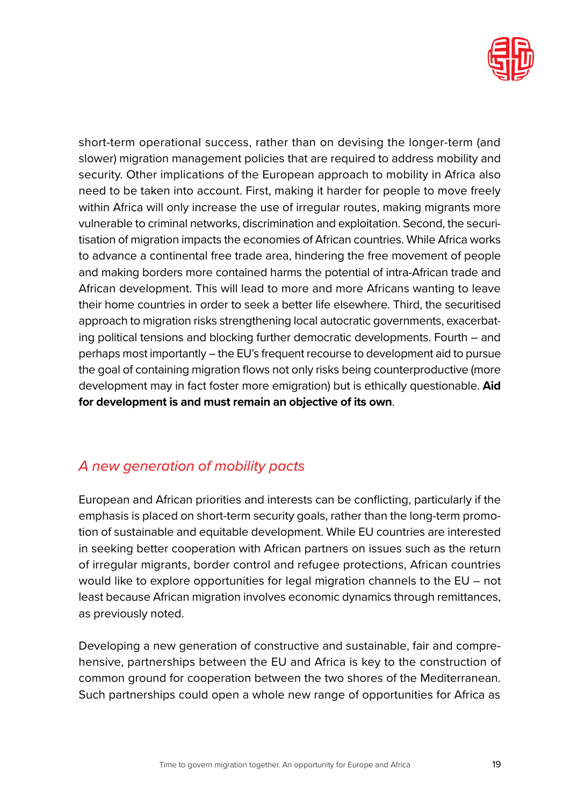

short-term operational success, rather than on devising the longer-term (and slower) migration management policies that are required to address mobility and security. Other implications of the European approach to mobility in Africa also need to be taken into account. First, making it harder for people to move freely within Africa will only increase the use of irregular routes, making migrants more vulnerable to criminal networks, discrimination and exploitation. Second, the securitisation of migration impacts the economies of African countries. While Africa works to advance a continental free trade area, hindering the free movement of people and making borders more contained harms the potential of intra-African trade and African development. This will lead to more and more Africans wanting to leave their home countries in order to seek a better life elsewhere. Third, the securitised approach to migration risks strengthening local autocratic governments, exacerbating political tensions and blocking further democratic developments. Fourth – and perhaps most importantly – the EU's frequent recourse to development aid to pursue the goal of containing migration flows not only risks being counterproductive (more development may in fact foster more emigration) but is ethically questionable. **Aid for development is and must remain an objective of its own**.

# *A new generation of mobility pacts*

European and African priorities and interests can be conflicting, particularly if the emphasis is placed on short-term security goals, rather than the long-term promotion of sustainable and equitable development. While EU countries are interested in seeking better cooperation with African partners on issues such as the return of irregular migrants, border control and refugee protections, African countries would like to explore opportunities for legal migration channels to the EU – not least because African migration involves economic dynamics through remittances, as previously noted.

Developing a new generation of constructive and sustainable, fair and comprehensive, partnerships between the EU and Africa is key to the construction of common ground for cooperation between the two shores of the Mediterranean. Such partnerships could open a whole new range of opportunities for Africa as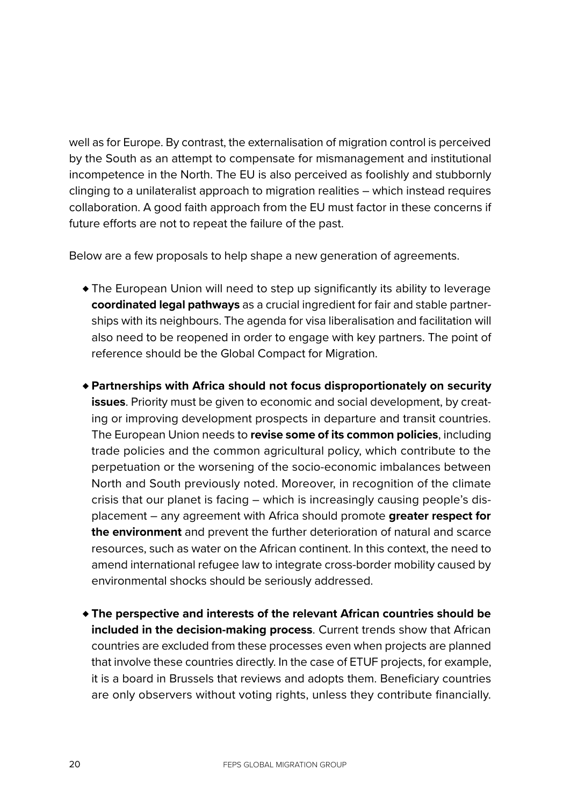well as for Europe. By contrast, the externalisation of migration control is perceived by the South as an attempt to compensate for mismanagement and institutional incompetence in the North. The EU is also perceived as foolishly and stubbornly clinging to a unilateralist approach to migration realities – which instead requires collaboration. A good faith approach from the EU must factor in these concerns if future efforts are not to repeat the failure of the past.

Below are a few proposals to help shape a new generation of agreements.

- ♦ The European Union will need to step up significantly its ability to leverage **coordinated legal pathways** as a crucial ingredient for fair and stable partnerships with its neighbours. The agenda for visa liberalisation and facilitation will also need to be reopened in order to engage with key partners. The point of reference should be the Global Compact for Migration.
- ♦ **Partnerships with Africa should not focus disproportionately on security issues**. Priority must be given to economic and social development, by creating or improving development prospects in departure and transit countries. The European Union needs to **revise some of its common policies**, including trade policies and the common agricultural policy, which contribute to the perpetuation or the worsening of the socio-economic imbalances between North and South previously noted. Moreover, in recognition of the climate crisis that our planet is facing – which is increasingly causing people's displacement – any agreement with Africa should promote **greater respect for the environment** and prevent the further deterioration of natural and scarce resources, such as water on the African continent. In this context, the need to amend international refugee law to integrate cross-border mobility caused by environmental shocks should be seriously addressed.
- ♦ **The perspective and interests of the relevant African countries should be included in the decision-making process**. Current trends show that African countries are excluded from these processes even when projects are planned that involve these countries directly. In the case of ETUF projects, for example, it is a board in Brussels that reviews and adopts them. Beneficiary countries are only observers without voting rights, unless they contribute financially.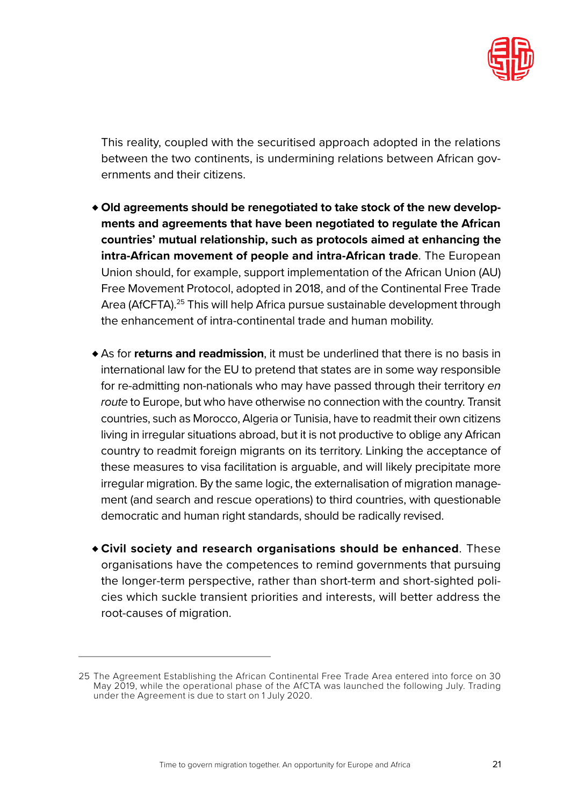

This reality, coupled with the securitised approach adopted in the relations between the two continents, is undermining relations between African governments and their citizens.

- ♦ **Old agreements should be renegotiated to take stock of the new developments and agreements that have been negotiated to regulate the African countries' mutual relationship, such as protocols aimed at enhancing the intra-African movement of people and intra-African trade**. The European Union should, for example, support implementation of the African Union (AU) Free Movement Protocol, adopted in 2018, and of the Continental Free Trade Area (AfCFTA).25 This will help Africa pursue sustainable development through the enhancement of intra-continental trade and human mobility.
- ♦ As for **returns and readmission**, it must be underlined that there is no basis in international law for the EU to pretend that states are in some way responsible for re-admitting non-nationals who may have passed through their territory *en route* to Europe, but who have otherwise no connection with the country. Transit countries, such as Morocco, Algeria or Tunisia, have to readmit their own citizens living in irregular situations abroad, but it is not productive to oblige any African country to readmit foreign migrants on its territory. Linking the acceptance of these measures to visa facilitation is arguable, and will likely precipitate more irregular migration. By the same logic, the externalisation of migration management (and search and rescue operations) to third countries, with questionable democratic and human right standards, should be radically revised.
- ♦ **Civil society and research organisations should be enhanced**. These organisations have the competences to remind governments that pursuing the longer-term perspective, rather than short-term and short-sighted policies which suckle transient priorities and interests, will better address the root-causes of migration.

<sup>25</sup> The Agreement Establishing the African Continental Free Trade Area entered into force on 30 May 2019, while the operational phase of the AfCTA was launched the following July. Trading under the Agreement is due to start on 1 July 2020.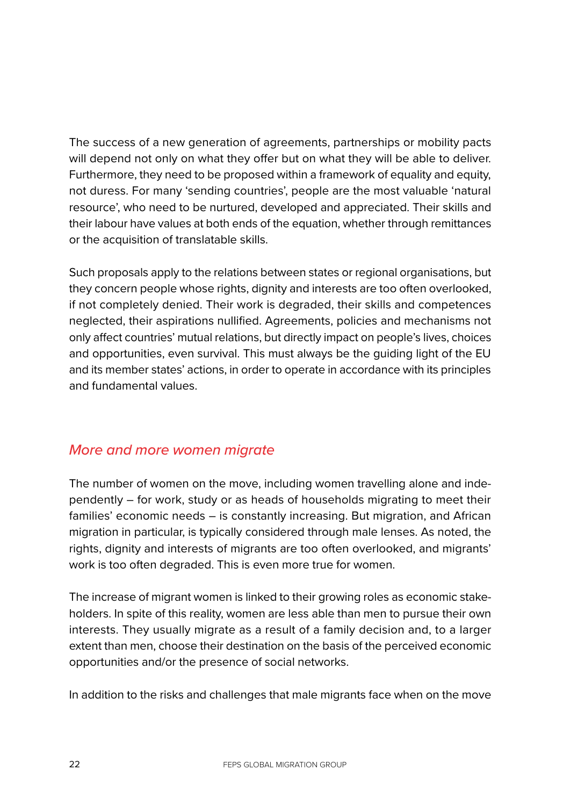The success of a new generation of agreements, partnerships or mobility pacts will depend not only on what they offer but on what they will be able to deliver. Furthermore, they need to be proposed within a framework of equality and equity, not duress. For many 'sending countries', people are the most valuable 'natural resource', who need to be nurtured, developed and appreciated. Their skills and their labour have values at both ends of the equation, whether through remittances or the acquisition of translatable skills.

Such proposals apply to the relations between states or regional organisations, but they concern people whose rights, dignity and interests are too often overlooked, if not completely denied. Their work is degraded, their skills and competences neglected, their aspirations nullified. Agreements, policies and mechanisms not only affect countries' mutual relations, but directly impact on people's lives, choices and opportunities, even survival. This must always be the guiding light of the EU and its member states' actions, in order to operate in accordance with its principles and fundamental values.

# *More and more women migrate*

The number of women on the move, including women travelling alone and independently – for work, study or as heads of households migrating to meet their families' economic needs – is constantly increasing. But migration, and African migration in particular, is typically considered through male lenses. As noted, the rights, dignity and interests of migrants are too often overlooked, and migrants' work is too often degraded. This is even more true for women.

The increase of migrant women is linked to their growing roles as economic stakeholders. In spite of this reality, women are less able than men to pursue their own interests. They usually migrate as a result of a family decision and, to a larger extent than men, choose their destination on the basis of the perceived economic opportunities and/or the presence of social networks.

In addition to the risks and challenges that male migrants face when on the move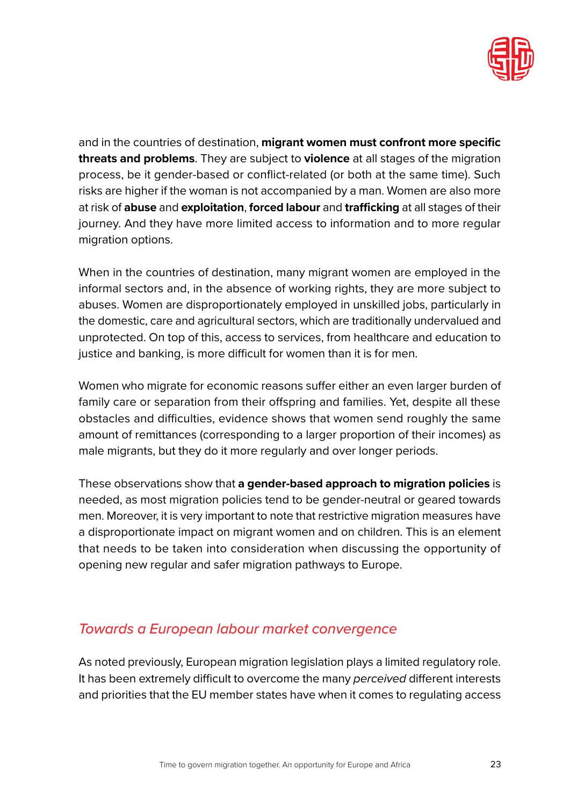

and in the countries of destination, **migrant women must confront more specific threats and problems**. They are subject to **violence** at all stages of the migration process, be it gender-based or conflict-related (or both at the same time). Such risks are higher if the woman is not accompanied by a man. Women are also more at risk of **abuse** and **exploitation**, **forced labour** and **trafficking** at all stages of their journey. And they have more limited access to information and to more regular migration options.

When in the countries of destination, many migrant women are employed in the informal sectors and, in the absence of working rights, they are more subject to abuses. Women are disproportionately employed in unskilled jobs, particularly in the domestic, care and agricultural sectors, which are traditionally undervalued and unprotected. On top of this, access to services, from healthcare and education to justice and banking, is more difficult for women than it is for men.

Women who migrate for economic reasons suffer either an even larger burden of family care or separation from their offspring and families. Yet, despite all these obstacles and difficulties, evidence shows that women send roughly the same amount of remittances (corresponding to a larger proportion of their incomes) as male migrants, but they do it more regularly and over longer periods.

These observations show that **a gender-based approach to migration policies** is needed, as most migration policies tend to be gender-neutral or geared towards men. Moreover, it is very important to note that restrictive migration measures have a disproportionate impact on migrant women and on children. This is an element that needs to be taken into consideration when discussing the opportunity of opening new regular and safer migration pathways to Europe.

#### *Towards a European labour market convergence*

As noted previously, European migration legislation plays a limited regulatory role. It has been extremely difficult to overcome the many *perceived* different interests and priorities that the EU member states have when it comes to regulating access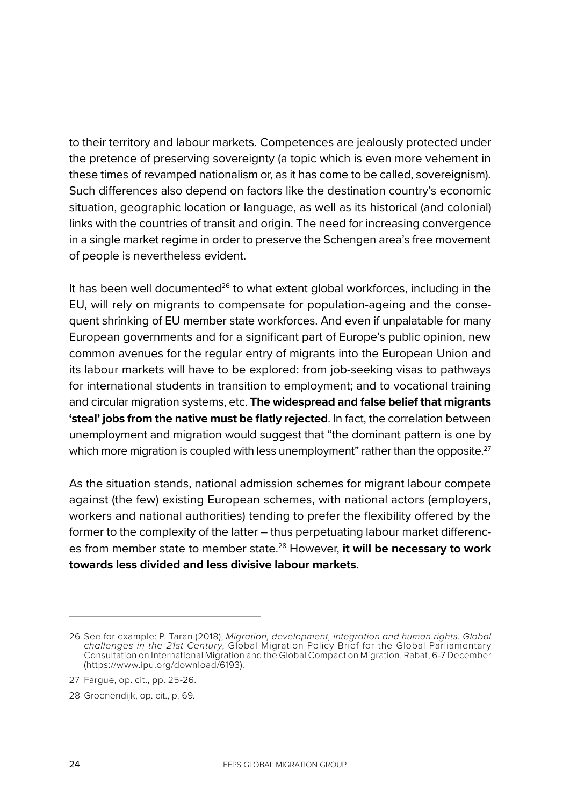to their territory and labour markets. Competences are jealously protected under the pretence of preserving sovereignty (a topic which is even more vehement in these times of revamped nationalism or, as it has come to be called, sovereignism). Such differences also depend on factors like the destination country's economic situation, geographic location or language, as well as its historical (and colonial) links with the countries of transit and origin. The need for increasing convergence in a single market regime in order to preserve the Schengen area's free movement of people is nevertheless evident.

It has been well documented $26$  to what extent global workforces, including in the EU, will rely on migrants to compensate for population-ageing and the consequent shrinking of EU member state workforces. And even if unpalatable for many European governments and for a significant part of Europe's public opinion, new common avenues for the regular entry of migrants into the European Union and its labour markets will have to be explored: from job-seeking visas to pathways for international students in transition to employment; and to vocational training and circular migration systems, etc. **The widespread and false belief that migrants 'steal' jobs from the native must be flatly rejected**. In fact, the correlation between unemployment and migration would suggest that "the dominant pattern is one by which more migration is coupled with less unemployment" rather than the opposite.<sup>27</sup>

As the situation stands, national admission schemes for migrant labour compete against (the few) existing European schemes, with national actors (employers, workers and national authorities) tending to prefer the flexibility offered by the former to the complexity of the latter – thus perpetuating labour market differences from member state to member state.28 However, **it will be necessary to work towards less divided and less divisive labour markets**.

<sup>26</sup> See for example: P. Taran (2018), *Migration, development, integration and human rights. Global challenges in the 21st Century*, Global Migration Policy Brief for the Global Parliamentary Consultation on International Migration and the Global Compact on Migration, Rabat, 6-7 December (https://www.ipu.org/download/6193).

<sup>27</sup> Fargue, op. cit., pp. 25-26.

<sup>28</sup> Groenendijk, op. cit., p. 69.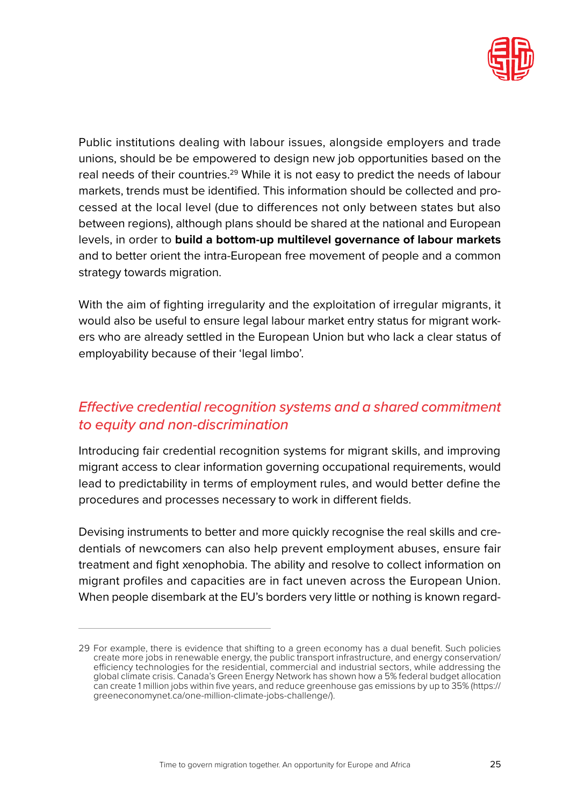

Public institutions dealing with labour issues, alongside employers and trade unions, should be be empowered to design new job opportunities based on the real needs of their countries.<sup>29</sup> While it is not easy to predict the needs of labour markets, trends must be identified. This information should be collected and processed at the local level (due to differences not only between states but also between regions), although plans should be shared at the national and European levels, in order to **build a bottom-up multilevel governance of labour markets** and to better orient the intra-European free movement of people and a common strategy towards migration.

With the aim of fighting irregularity and the exploitation of irregular migrants, it would also be useful to ensure legal labour market entry status for migrant workers who are already settled in the European Union but who lack a clear status of employability because of their 'legal limbo'.

# *Effective credential recognition systems and a shared commitment to equity and non-discrimination*

Introducing fair credential recognition systems for migrant skills, and improving migrant access to clear information governing occupational requirements, would lead to predictability in terms of employment rules, and would better define the procedures and processes necessary to work in different fields.

Devising instruments to better and more quickly recognise the real skills and credentials of newcomers can also help prevent employment abuses, ensure fair treatment and fight xenophobia. The ability and resolve to collect information on migrant profiles and capacities are in fact uneven across the European Union. When people disembark at the EU's borders very little or nothing is known regard-

<sup>29</sup> For example, there is evidence that shifting to a green economy has a dual benefit. Such policies create more jobs in renewable energy, the public transport infrastructure, and energy conservation/ efficiency technologies for the residential, commercial and industrial sectors, while addressing the global climate crisis. Canada's Green Energy Network has shown how a 5% federal budget allocation can create 1 million jobs within five years, and reduce greenhouse gas emissions by up to 35% (https:// greeneconomynet.ca/one-million-climate-jobs-challenge/).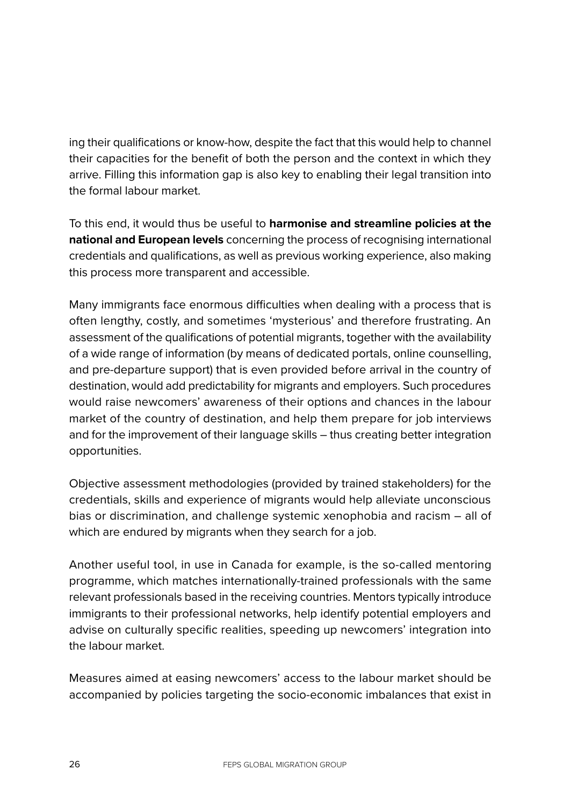ing their qualifications or know-how, despite the fact that this would help to channel their capacities for the benefit of both the person and the context in which they arrive. Filling this information gap is also key to enabling their legal transition into the formal labour market.

To this end, it would thus be useful to **harmonise and streamline policies at the national and European levels** concerning the process of recognising international credentials and qualifications, as well as previous working experience, also making this process more transparent and accessible.

Many immigrants face enormous difficulties when dealing with a process that is often lengthy, costly, and sometimes 'mysterious' and therefore frustrating. An assessment of the qualifications of potential migrants, together with the availability of a wide range of information (by means of dedicated portals, online counselling, and pre-departure support) that is even provided before arrival in the country of destination, would add predictability for migrants and employers. Such procedures would raise newcomers' awareness of their options and chances in the labour market of the country of destination, and help them prepare for job interviews and for the improvement of their language skills – thus creating better integration opportunities.

Objective assessment methodologies (provided by trained stakeholders) for the credentials, skills and experience of migrants would help alleviate unconscious bias or discrimination, and challenge systemic xenophobia and racism – all of which are endured by migrants when they search for a job.

Another useful tool, in use in Canada for example, is the so-called mentoring programme, which matches internationally-trained professionals with the same relevant professionals based in the receiving countries. Mentors typically introduce immigrants to their professional networks, help identify potential employers and advise on culturally specific realities, speeding up newcomers' integration into the labour market.

Measures aimed at easing newcomers' access to the labour market should be accompanied by policies targeting the socio-economic imbalances that exist in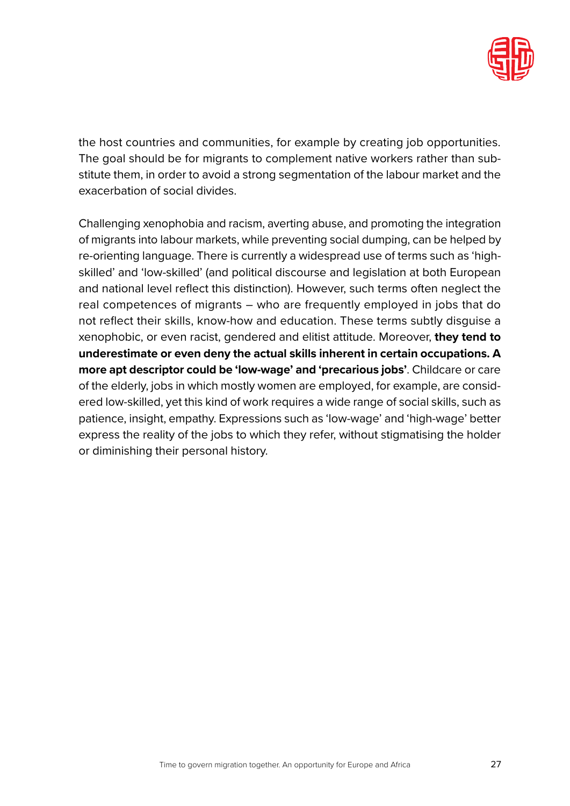

the host countries and communities, for example by creating job opportunities. The goal should be for migrants to complement native workers rather than substitute them, in order to avoid a strong segmentation of the labour market and the exacerbation of social divides.

Challenging xenophobia and racism, averting abuse, and promoting the integration of migrants into labour markets, while preventing social dumping, can be helped by re-orienting language. There is currently a widespread use of terms such as 'highskilled' and 'low-skilled' (and political discourse and legislation at both European and national level reflect this distinction). However, such terms often neglect the real competences of migrants – who are frequently employed in jobs that do not reflect their skills, know-how and education. These terms subtly disguise a xenophobic, or even racist, gendered and elitist attitude. Moreover, **they tend to underestimate or even deny the actual skills inherent in certain occupations. A more apt descriptor could be 'low-wage' and 'precarious jobs'**. Childcare or care of the elderly, jobs in which mostly women are employed, for example, are considered low-skilled, yet this kind of work requires a wide range of social skills, such as patience, insight, empathy. Expressions such as 'low-wage' and 'high-wage' better express the reality of the jobs to which they refer, without stigmatising the holder or diminishing their personal history.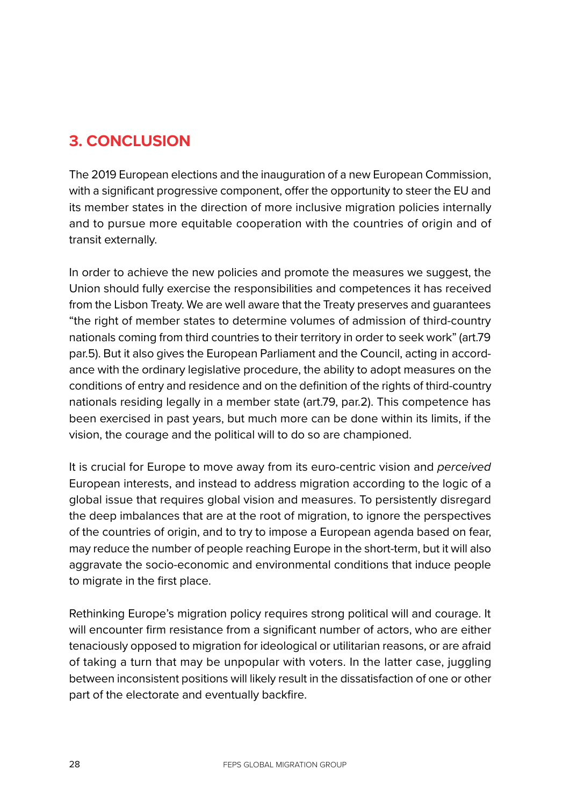# **3. CONCLUSION**

The 2019 European elections and the inauguration of a new European Commission, with a significant progressive component, offer the opportunity to steer the EU and its member states in the direction of more inclusive migration policies internally and to pursue more equitable cooperation with the countries of origin and of transit externally.

In order to achieve the new policies and promote the measures we suggest, the Union should fully exercise the responsibilities and competences it has received from the Lisbon Treaty. We are well aware that the Treaty preserves and guarantees "the right of member states to determine volumes of admission of third-country nationals coming from third countries to their territory in order to seek work" (art.79 par.5). But it also gives the European Parliament and the Council, acting in accordance with the ordinary legislative procedure, the ability to adopt measures on the conditions of entry and residence and on the definition of the rights of third-country nationals residing legally in a member state (art.79, par.2). This competence has been exercised in past years, but much more can be done within its limits, if the vision, the courage and the political will to do so are championed.

It is crucial for Europe to move away from its euro-centric vision and *perceived*  European interests, and instead to address migration according to the logic of a global issue that requires global vision and measures. To persistently disregard the deep imbalances that are at the root of migration, to ignore the perspectives of the countries of origin, and to try to impose a European agenda based on fear, may reduce the number of people reaching Europe in the short-term, but it will also aggravate the socio-economic and environmental conditions that induce people to migrate in the first place.

Rethinking Europe's migration policy requires strong political will and courage. It will encounter firm resistance from a significant number of actors, who are either tenaciously opposed to migration for ideological or utilitarian reasons, or are afraid of taking a turn that may be unpopular with voters. In the latter case, juggling between inconsistent positions will likely result in the dissatisfaction of one or other part of the electorate and eventually backfire.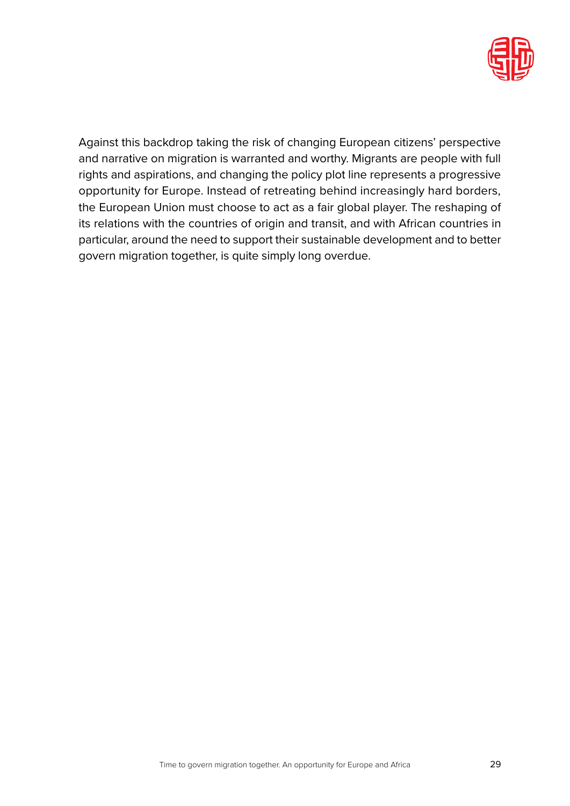

Against this backdrop taking the risk of changing European citizens' perspective and narrative on migration is warranted and worthy. Migrants are people with full rights and aspirations, and changing the policy plot line represents a progressive opportunity for Europe. Instead of retreating behind increasingly hard borders, the European Union must choose to act as a fair global player. The reshaping of its relations with the countries of origin and transit, and with African countries in particular, around the need to support their sustainable development and to better govern migration together, is quite simply long overdue.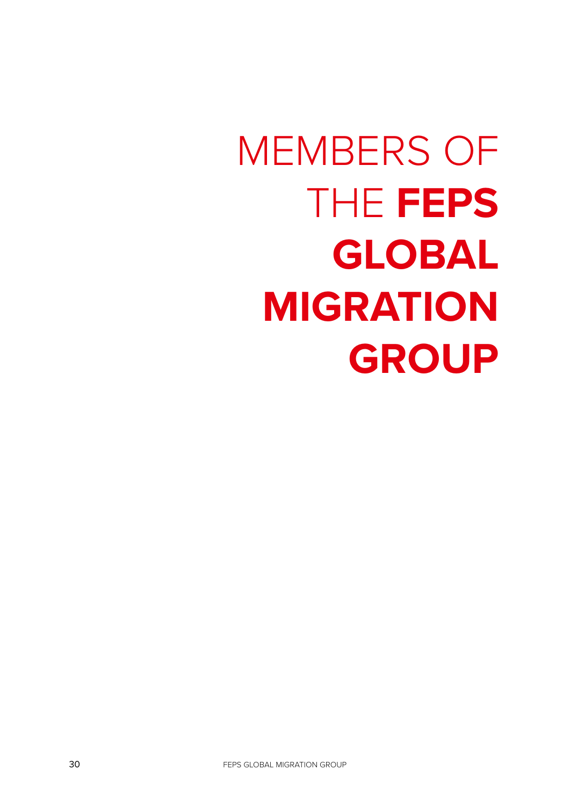# MEMBERS OF THE **FEPS GLOBAL MIGRATION GROUP**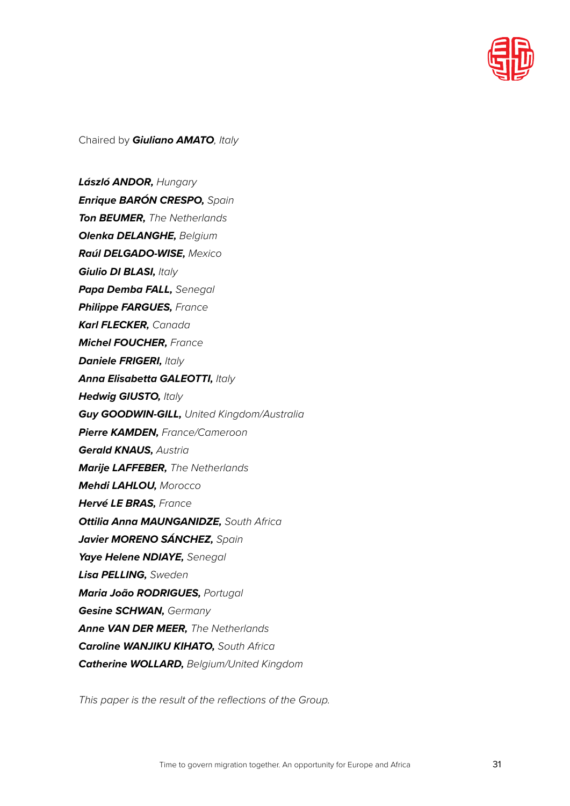

Chaired by *Giuliano AMATO, Italy*

*László ANDOR, Hungary Enrique BARÓN CRESPO, Spain Ton BEUMER, The Netherlands Olenka DELANGHE, Belgium Raúl DELGADO-WISE, Mexico Giulio DI BLASI, Italy Papa Demba FALL, Senegal Philippe FARGUES, France Karl FLECKER, Canada Michel FOUCHER, France Daniele FRIGERI, Italy Anna Elisabetta GALEOTTI, Italy Hedwig GIUSTO, Italy Guy GOODWIN-GILL, United Kingdom/Australia Pierre KAMDEN, France/Cameroon Gerald KNAUS, Austria Marije LAFFEBER, The Netherlands Mehdi LAHLOU, Morocco Hervé LE BRAS, France Ottilia Anna MAUNGANIDZE, South Africa Javier MORENO SÁNCHEZ, Spain Yaye Helene NDIAYE, Senegal Lisa PELLING, Sweden Maria João RODRIGUES, Portugal Gesine SCHWAN, Germany Anne VAN DER MEER, The Netherlands Caroline WANJIKU KIHATO, South Africa Catherine WOLLARD, Belgium/United Kingdom*

*This paper is the result of the reflections of the Group.*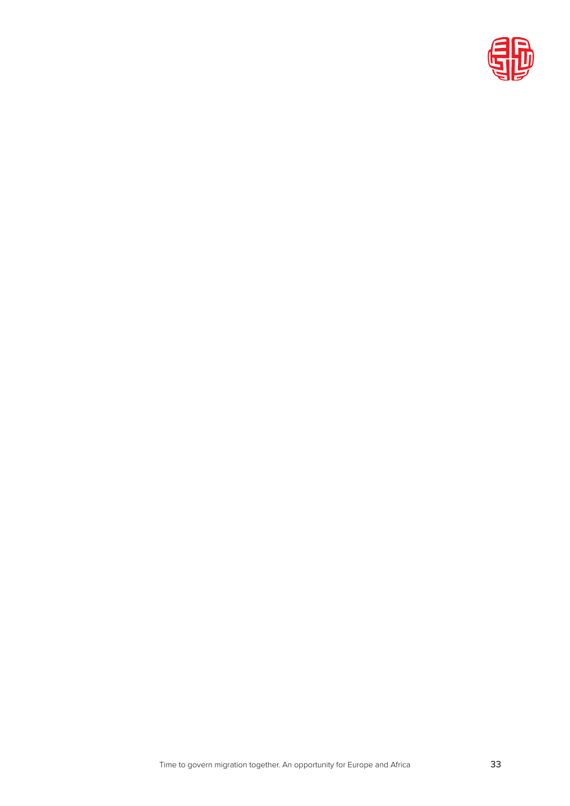